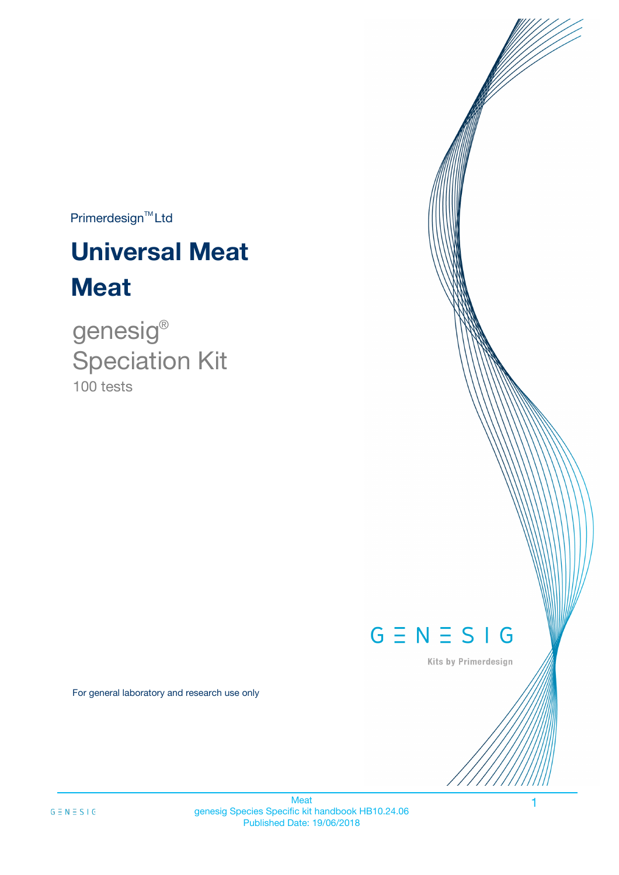$Primerdesign^{TM}$ Ltd

# **Universal Meat Meat**

100 tests genesig ® Speciation Kit

# $G \equiv N \equiv S \mid G$

Kits by Primerdesign

For general laboratory and research use only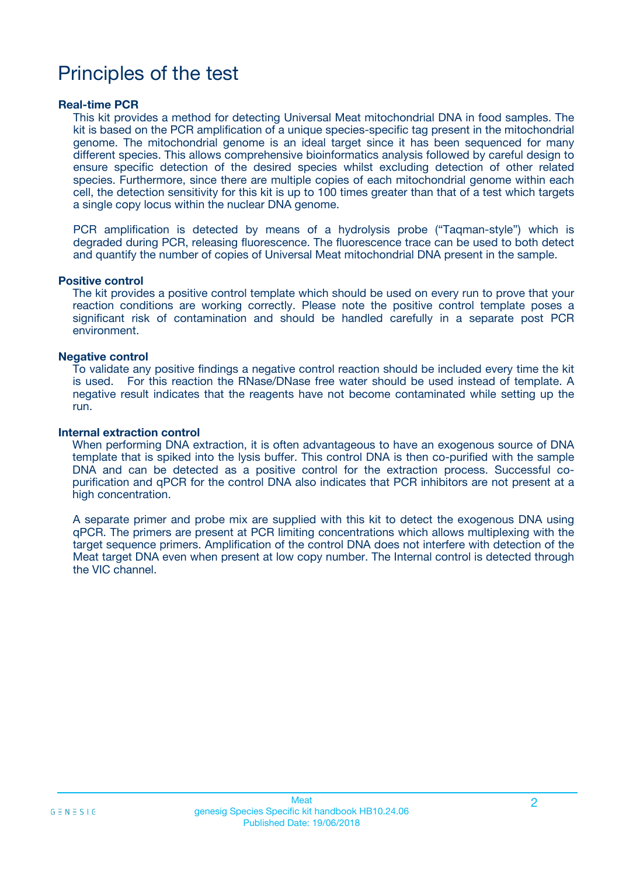# Principles of the test

### **Real-time PCR**

This kit provides a method for detecting Universal Meat mitochondrial DNA in food samples. The kit is based on the PCR amplification of a unique species-specific tag present in the mitochondrial genome. The mitochondrial genome is an ideal target since it has been sequenced for many different species. This allows comprehensive bioinformatics analysis followed by careful design to ensure specific detection of the desired species whilst excluding detection of other related species. Furthermore, since there are multiple copies of each mitochondrial genome within each cell, the detection sensitivity for this kit is up to 100 times greater than that of a test which targets a single copy locus within the nuclear DNA genome.

PCR amplification is detected by means of a hydrolysis probe ("Taqman-style") which is degraded during PCR, releasing fluorescence. The fluorescence trace can be used to both detect and quantify the number of copies of Universal Meat mitochondrial DNA present in the sample.

### **Positive control**

The kit provides a positive control template which should be used on every run to prove that your reaction conditions are working correctly. Please note the positive control template poses a significant risk of contamination and should be handled carefully in a separate post PCR environment.

### **Negative control**

To validate any positive findings a negative control reaction should be included every time the kit is used. For this reaction the RNase/DNase free water should be used instead of template. A negative result indicates that the reagents have not become contaminated while setting up the run.

#### **Internal extraction control**

When performing DNA extraction, it is often advantageous to have an exogenous source of DNA template that is spiked into the lysis buffer. This control DNA is then co-purified with the sample DNA and can be detected as a positive control for the extraction process. Successful copurification and qPCR for the control DNA also indicates that PCR inhibitors are not present at a high concentration.

A separate primer and probe mix are supplied with this kit to detect the exogenous DNA using qPCR. The primers are present at PCR limiting concentrations which allows multiplexing with the target sequence primers. Amplification of the control DNA does not interfere with detection of the Meat target DNA even when present at low copy number. The Internal control is detected through the VIC channel.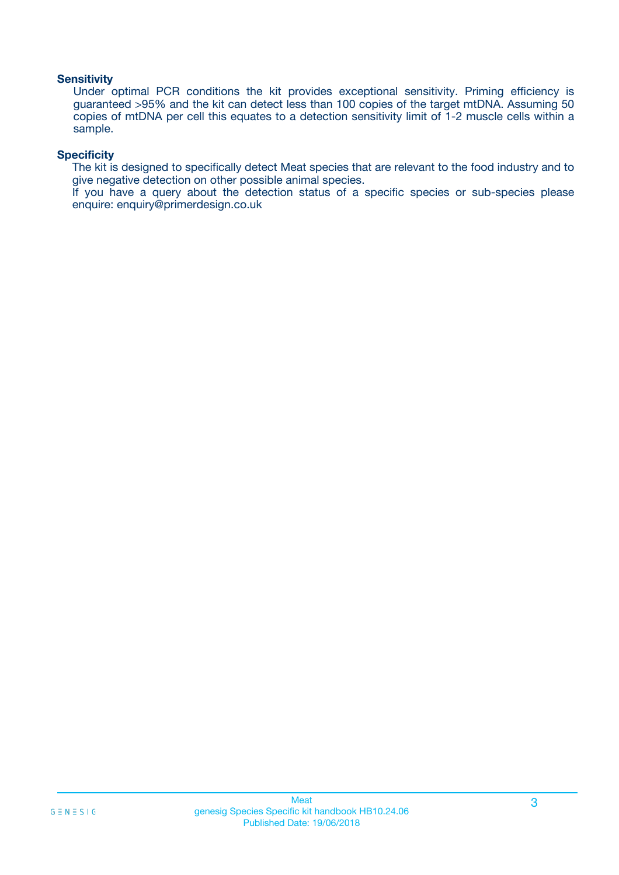### **Sensitivity**

Under optimal PCR conditions the kit provides exceptional sensitivity. Priming efficiency is guaranteed >95% and the kit can detect less than 100 copies of the target mtDNA. Assuming 50 copies of mtDNA per cell this equates to a detection sensitivity limit of 1-2 muscle cells within a sample.

### **Specificity**

The kit is designed to specifically detect Meat species that are relevant to the food industry and to give negative detection on other possible animal species.

If you have a query about the detection status of a specific species or sub-species please enquire: enquiry@primerdesign.co.uk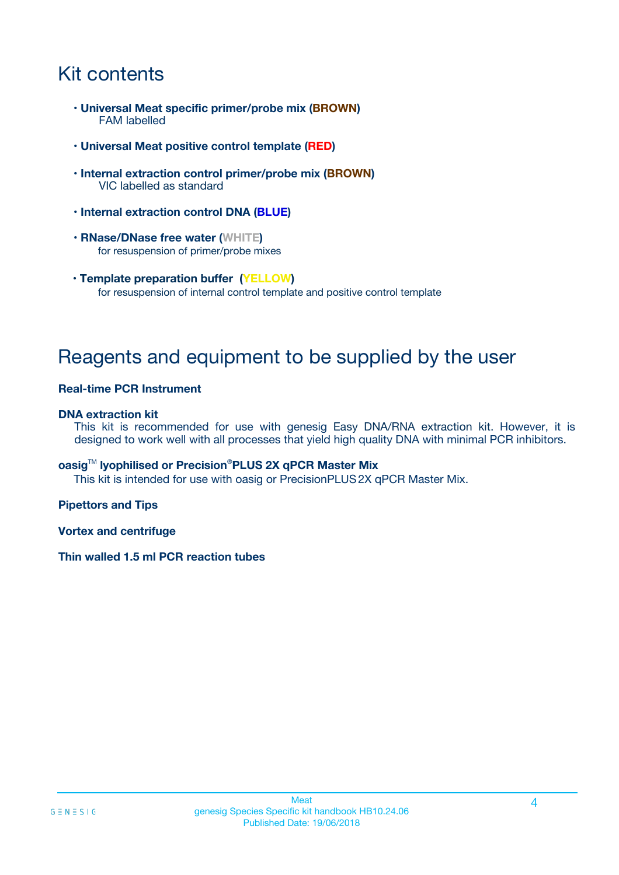# Kit contents

- **Universal Meat specific primer/probe mix (BROWN)** FAM labelled
- **Universal Meat positive control template (RED)**
- **Internal extraction control primer/probe mix (BROWN)** VIC labelled as standard
- **Internal extraction control DNA (BLUE)**
- **RNase/DNase free water (WHITE)** for resuspension of primer/probe mixes
- **Template preparation buffer (YELLOW)** for resuspension of internal control template and positive control template

# Reagents and equipment to be supplied by the user

### **Real-time PCR Instrument**

### **DNA extraction kit**

This kit is recommended for use with genesig Easy DNA/RNA extraction kit. However, it is designed to work well with all processes that yield high quality DNA with minimal PCR inhibitors.

### **oasig**TM **lyophilised or Precision**®**PLUS 2X qPCR Master Mix**

This kit is intended for use with oasig or PrecisionPLUS2X qPCR Master Mix.

### **Pipettors and Tips**

**Vortex and centrifuge**

### **Thin walled 1.5 ml PCR reaction tubes**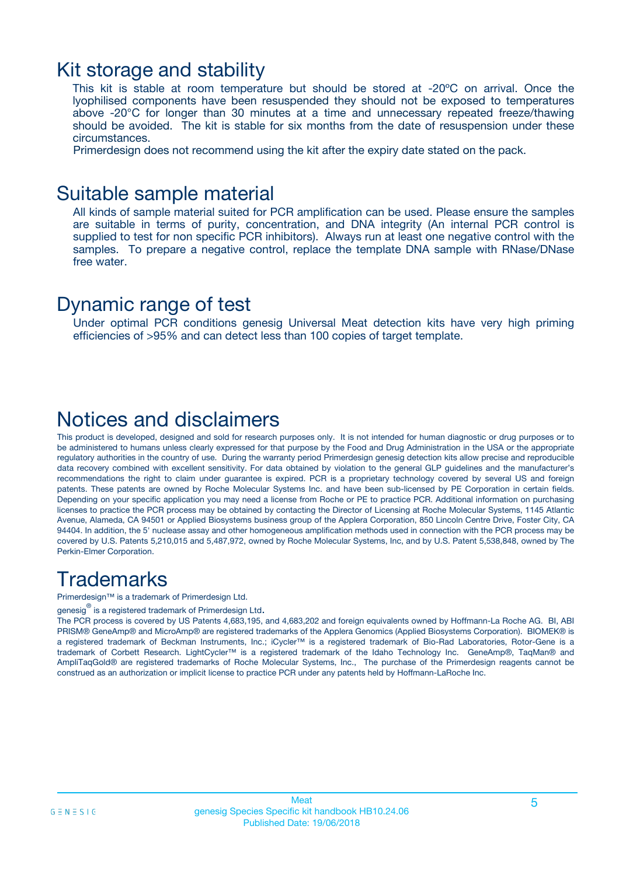### Kit storage and stability

This kit is stable at room temperature but should be stored at -20ºC on arrival. Once the lyophilised components have been resuspended they should not be exposed to temperatures above -20°C for longer than 30 minutes at a time and unnecessary repeated freeze/thawing should be avoided. The kit is stable for six months from the date of resuspension under these circumstances.

Primerdesign does not recommend using the kit after the expiry date stated on the pack.

### Suitable sample material

All kinds of sample material suited for PCR amplification can be used. Please ensure the samples are suitable in terms of purity, concentration, and DNA integrity (An internal PCR control is supplied to test for non specific PCR inhibitors). Always run at least one negative control with the samples. To prepare a negative control, replace the template DNA sample with RNase/DNase free water.

### Dynamic range of test

Under optimal PCR conditions genesig Universal Meat detection kits have very high priming efficiencies of >95% and can detect less than 100 copies of target template.

## Notices and disclaimers

This product is developed, designed and sold for research purposes only. It is not intended for human diagnostic or drug purposes or to be administered to humans unless clearly expressed for that purpose by the Food and Drug Administration in the USA or the appropriate regulatory authorities in the country of use. During the warranty period Primerdesign genesig detection kits allow precise and reproducible data recovery combined with excellent sensitivity. For data obtained by violation to the general GLP guidelines and the manufacturer's recommendations the right to claim under guarantee is expired. PCR is a proprietary technology covered by several US and foreign patents. These patents are owned by Roche Molecular Systems Inc. and have been sub-licensed by PE Corporation in certain fields. Depending on your specific application you may need a license from Roche or PE to practice PCR. Additional information on purchasing licenses to practice the PCR process may be obtained by contacting the Director of Licensing at Roche Molecular Systems, 1145 Atlantic Avenue, Alameda, CA 94501 or Applied Biosystems business group of the Applera Corporation, 850 Lincoln Centre Drive, Foster City, CA 94404. In addition, the 5' nuclease assay and other homogeneous amplification methods used in connection with the PCR process may be covered by U.S. Patents 5,210,015 and 5,487,972, owned by Roche Molecular Systems, Inc, and by U.S. Patent 5,538,848, owned by The Perkin-Elmer Corporation.

# **Trademarks**

Primerdesign™ is a trademark of Primerdesign Ltd.

genesig $^\circledR$  is a registered trademark of Primerdesign Ltd.

The PCR process is covered by US Patents 4,683,195, and 4,683,202 and foreign equivalents owned by Hoffmann-La Roche AG. BI, ABI PRISM® GeneAmp® and MicroAmp® are registered trademarks of the Applera Genomics (Applied Biosystems Corporation). BIOMEK® is a registered trademark of Beckman Instruments, Inc.; iCycler™ is a registered trademark of Bio-Rad Laboratories, Rotor-Gene is a trademark of Corbett Research. LightCycler™ is a registered trademark of the Idaho Technology Inc. GeneAmp®, TaqMan® and AmpliTaqGold® are registered trademarks of Roche Molecular Systems, Inc., The purchase of the Primerdesign reagents cannot be construed as an authorization or implicit license to practice PCR under any patents held by Hoffmann-LaRoche Inc.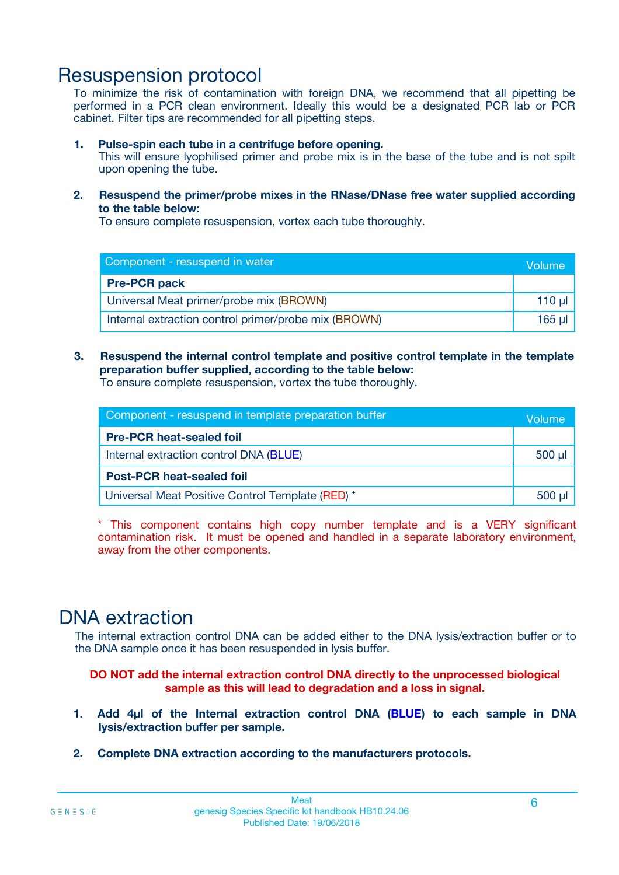# Resuspension protocol

To minimize the risk of contamination with foreign DNA, we recommend that all pipetting be performed in a PCR clean environment. Ideally this would be a designated PCR lab or PCR cabinet. Filter tips are recommended for all pipetting steps.

### **1. Pulse-spin each tube in a centrifuge before opening.**

This will ensure lyophilised primer and probe mix is in the base of the tube and is not spilt upon opening the tube.

**2. Resuspend the primer/probe mixes in the RNase/DNase free water supplied according to the table below:**

To ensure complete resuspension, vortex each tube thoroughly.

| Component - resuspend in water                       |         |  |
|------------------------------------------------------|---------|--|
| <b>Pre-PCR pack</b>                                  |         |  |
| Universal Meat primer/probe mix (BROWN)              | $110$ µ |  |
| Internal extraction control primer/probe mix (BROWN) | 165 ul  |  |

### **3. Resuspend the internal control template and positive control template in the template preparation buffer supplied, according to the table below:**

To ensure complete resuspension, vortex the tube thoroughly.

| Component - resuspend in template preparation buffer |             |  |
|------------------------------------------------------|-------------|--|
| <b>Pre-PCR heat-sealed foil</b>                      |             |  |
| Internal extraction control DNA (BLUE)               | $500$ $\mu$ |  |
| <b>Post-PCR heat-sealed foil</b>                     |             |  |
| Universal Meat Positive Control Template (RED) *     | 500 µl      |  |

\* This component contains high copy number template and is a VERY significant contamination risk. It must be opened and handled in a separate laboratory environment, away from the other components.

# DNA extraction

The internal extraction control DNA can be added either to the DNA lysis/extraction buffer or to the DNA sample once it has been resuspended in lysis buffer.

**DO NOT add the internal extraction control DNA directly to the unprocessed biological sample as this will lead to degradation and a loss in signal.**

- **1. Add 4µl of the Internal extraction control DNA (BLUE) to each sample in DNA lysis/extraction buffer per sample.**
- **2. Complete DNA extraction according to the manufacturers protocols.**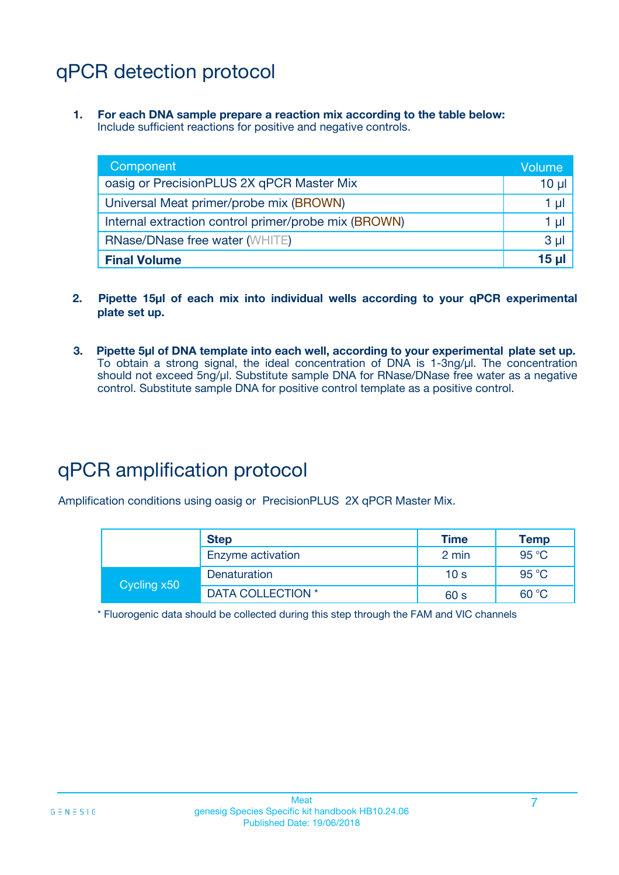# qPCR detection protocol

**1. For each DNA sample prepare a reaction mix according to the table below:** Include sufficient reactions for positive and negative controls.

| Component                                            | Volume         |
|------------------------------------------------------|----------------|
| oasig or PrecisionPLUS 2X qPCR Master Mix            | $10 \mu$       |
| Universal Meat primer/probe mix (BROWN)              | 1 µl           |
| Internal extraction control primer/probe mix (BROWN) | 1 µI           |
| <b>RNase/DNase free water (WHITE)</b>                | 3 <sub>µ</sub> |
| <b>Final Volume</b>                                  | 15 ul          |

- **2. Pipette 15µl of each mix into individual wells according to your qPCR experimental plate set up.**
- **3. Pipette 5µl of DNA template into each well, according to your experimental plate set up.** To obtain a strong signal, the ideal concentration of DNA is 1-3ng/µl. The concentration should not exceed 5ng/µl. Substitute sample DNA for RNase/DNase free water as a negative control. Substitute sample DNA for positive control template as a positive control.

# qPCR amplification protocol

Amplification conditions using oasig or PrecisionPLUS 2X qPCR Master Mix.

|             | <b>Step</b>       | <b>Time</b>     | Temp           |
|-------------|-------------------|-----------------|----------------|
|             | Enzyme activation | 2 min           | 95 °C          |
| Cycling x50 | Denaturation      | 10 <sub>s</sub> | 95 $\degree$ C |
|             | DATA COLLECTION * | 60 s            | 60 °C          |

\* Fluorogenic data should be collected during this step through the FAM and VIC channels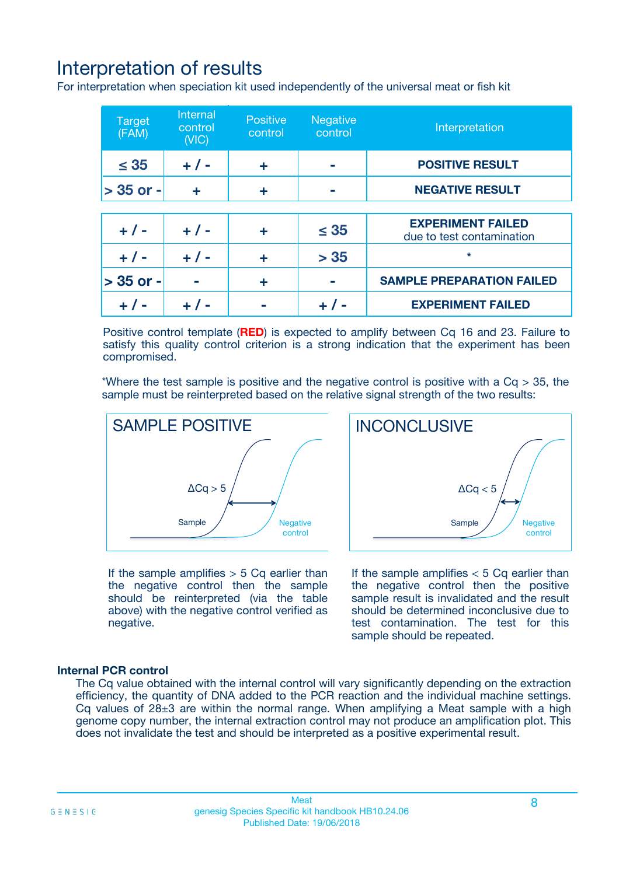# Interpretation of results

For interpretation when speciation kit used independently of the universal meat or fish kit

| <b>Target</b><br>(FAM) | <b>Internal</b><br>control<br>(VIC) | <b>Positive</b><br>control | <b>Negative</b><br>control | Interpretation                                        |
|------------------------|-------------------------------------|----------------------------|----------------------------|-------------------------------------------------------|
| $\leq 35$              | $+ 1 -$                             | ÷                          |                            | <b>POSITIVE RESULT</b>                                |
| $> 35$ or -            | ÷                                   | ÷                          |                            | <b>NEGATIVE RESULT</b>                                |
|                        |                                     |                            |                            |                                                       |
| $+ 1 -$                | $+ 1 -$                             | ÷                          | $\leq 35$                  | <b>EXPERIMENT FAILED</b><br>due to test contamination |
| $+ 1 -$                | $+ 1 -$                             | ٠                          | > 35                       | $\star$                                               |
| $> 35$ or -            |                                     | ÷                          |                            | <b>SAMPLE PREPARATION FAILED</b>                      |
|                        |                                     |                            |                            | <b>EXPERIMENT FAILED</b>                              |

Positive control template (**RED**) is expected to amplify between Cq 16 and 23. Failure to satisfy this quality control criterion is a strong indication that the experiment has been compromised.

\*Where the test sample is positive and the negative control is positive with a  $Ca > 35$ , the sample must be reinterpreted based on the relative signal strength of the two results:



If the sample amplifies  $> 5$  Cq earlier than the negative control then the sample should be reinterpreted (via the table above) with the negative control verified as negative.

Sample  $/$  / Negative control  $\Delta$ Ca < 5 **INCONCLUSIVE** 

If the sample amplifies  $< 5$  Cq earlier than the negative control then the positive sample result is invalidated and the result should be determined inconclusive due to test contamination. The test for this sample should be repeated.

### **Internal PCR control**

The Cq value obtained with the internal control will vary significantly depending on the extraction efficiency, the quantity of DNA added to the PCR reaction and the individual machine settings. Cq values of  $28\pm3$  are within the normal range. When amplifying a Meat sample with a high genome copy number, the internal extraction control may not produce an amplification plot. This does not invalidate the test and should be interpreted as a positive experimental result.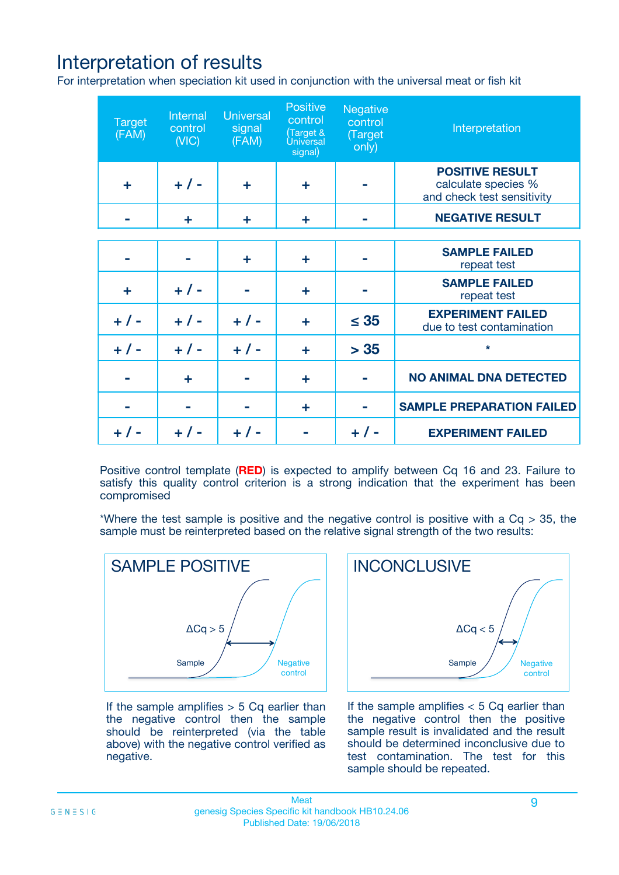# Interpretation of results

For interpretation when speciation kit used in conjunction with the universal meat or fish kit

| <b>Target</b><br>(FAM) | Internal<br>control<br>(NIC) | <b>Universal</b><br>signal<br>(FAM) | Positive<br>control<br>(Target &<br><b>Universal</b><br>signal) | <b>Negative</b><br>control<br>(Target<br>only) | Interpretation                                                              |
|------------------------|------------------------------|-------------------------------------|-----------------------------------------------------------------|------------------------------------------------|-----------------------------------------------------------------------------|
| ÷                      | $+$ / -                      | ÷                                   | ÷                                                               |                                                | <b>POSITIVE RESULT</b><br>calculate species %<br>and check test sensitivity |
|                        | ٠                            | ÷                                   | ÷                                                               |                                                | <b>NEGATIVE RESULT</b>                                                      |
|                        |                              |                                     |                                                                 |                                                |                                                                             |
|                        |                              | ÷                                   | ÷                                                               |                                                | <b>SAMPLE FAILED</b><br>repeat test                                         |
| ÷                      | $+ 1 -$                      |                                     | ÷                                                               |                                                | <b>SAMPLE FAILED</b><br>repeat test                                         |
| $+/-$                  | $+$ / -                      | $+/-$                               | ÷                                                               | $\leq 35$                                      | <b>EXPERIMENT FAILED</b><br>due to test contamination                       |
| $+ 1 -$                | $+$ / -                      | $+ 1 -$                             | ÷                                                               | > 35                                           | $\star$                                                                     |
|                        | ÷                            |                                     | ÷                                                               |                                                | <b>NO ANIMAL DNA DETECTED</b>                                               |
|                        |                              |                                     | ÷                                                               |                                                | <b>SAMPLE PREPARATION FAILED</b>                                            |
| $+  / -$               | $+ 1 -$                      |                                     |                                                                 |                                                | <b>EXPERIMENT FAILED</b>                                                    |

Positive control template (**RED**) is expected to amplify between Cq 16 and 23. Failure to satisfy this quality control criterion is a strong indication that the experiment has been compromised

\*Where the test sample is positive and the negative control is positive with a  $Cq > 35$ , the sample must be reinterpreted based on the relative signal strength of the two results:



If the sample amplifies  $> 5$  Cq earlier than the negative control then the sample should be reinterpreted (via the table above) with the negative control verified as negative.



If the sample amplifies  $< 5$  Cq earlier than the negative control then the positive sample result is invalidated and the result should be determined inconclusive due to test contamination. The test for this sample should be repeated.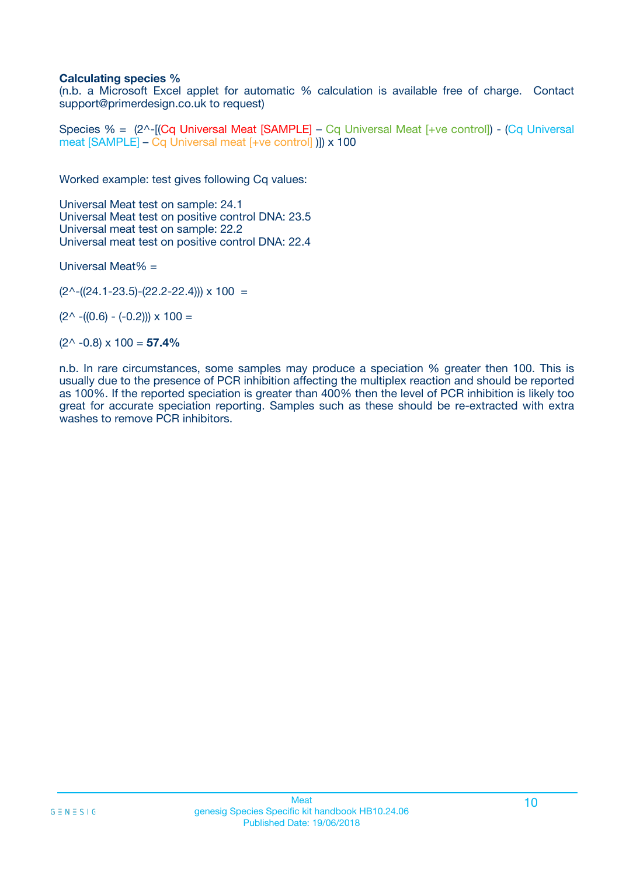### **Calculating species %**

(n.b. a Microsoft Excel applet for automatic % calculation is available free of charge. Contact support@primerdesign.co.uk to request)

Species % = (2^-[(Cq Universal Meat [SAMPLE] – Cq Universal Meat [+ve control]) - (Cq Universal meat [SAMPLE] – Cq Universal meat [+ve control] )]) x 100

Worked example: test gives following Cq values:

Universal Meat test on sample: 24.1 Universal Meat test on positive control DNA: 23.5 Universal meat test on sample: 22.2 Universal meat test on positive control DNA: 22.4

Universal Meat% =

 $(2^{\wedge}-(24.1-23.5)-(22.2-22.4))) \times 100 =$ 

 $(2^{\wedge}$  -((0.6) - (-0.2)))  $\times$  100 =

(2^ -0.8) x 100 = **57.4%**

n.b. In rare circumstances, some samples may produce a speciation % greater then 100. This is usually due to the presence of PCR inhibition affecting the multiplex reaction and should be reported as 100%. If the reported speciation is greater than 400% then the level of PCR inhibition is likely too great for accurate speciation reporting. Samples such as these should be re-extracted with extra washes to remove PCR inhibitors.